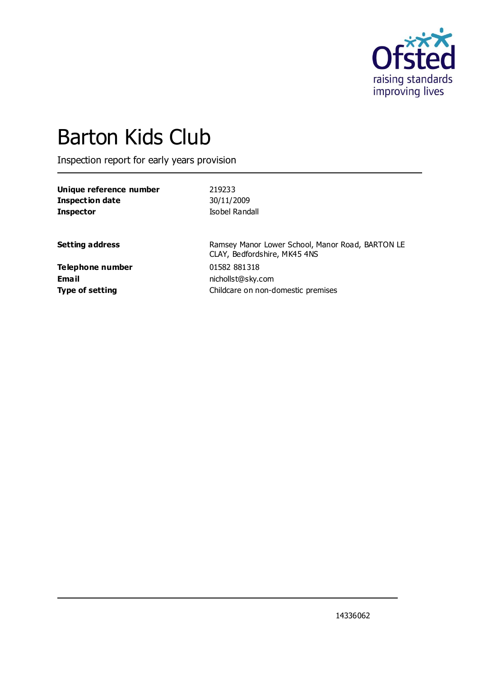

# Barton Kids Club

Inspection report for early years provision

| Unique reference number | 219233         |
|-------------------------|----------------|
| <b>Inspection date</b>  | 30/11/2009     |
| <b>Inspector</b>        | Isobel Randall |

**Setting address** Ramsey Manor Lower School, Manor Road, BARTON LE CLAY, Bedfordshire, MK45 4NS **Type of setting** Type of setting **Childcare on non-domestic premises** 

**Telephone number** 01582 881318 **Email** nichollst@sky.com

14336062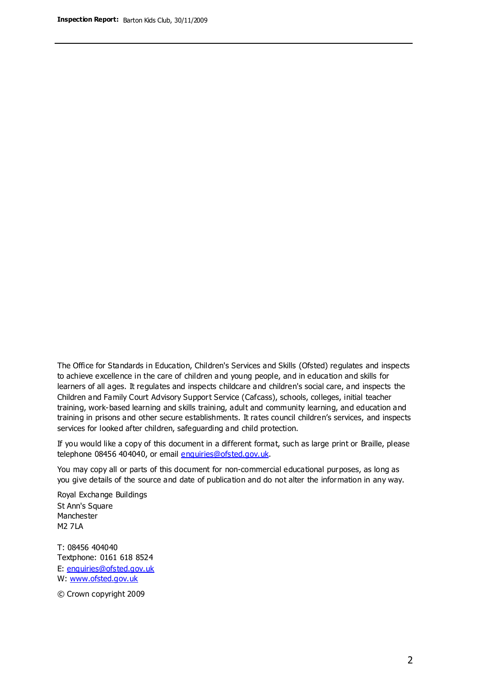The Office for Standards in Education, Children's Services and Skills (Ofsted) regulates and inspects to achieve excellence in the care of children and young people, and in education and skills for learners of all ages. It regulates and inspects childcare and children's social care, and inspects the Children and Family Court Advisory Support Service (Cafcass), schools, colleges, initial teacher training, work-based learning and skills training, adult and community learning, and education and training in prisons and other secure establishments. It rates council children's services, and inspects services for looked after children, safeguarding and child protection.

If you would like a copy of this document in a different format, such as large print or Braille, please telephone 08456 404040, or email enquiries@ofsted.gov.uk.

You may copy all or parts of this document for non-commercial educational purposes, as long as you give details of the source and date of publication and do not alter the information in any way.

Royal Exchange Buildings St Ann's Square Manchester M2 7LA

T: 08456 404040 Textphone: 0161 618 8524 E: enquiries@ofsted.gov.uk W: [www.ofsted.gov.uk](http://www.ofsted.gov.uk/)

© Crown copyright 2009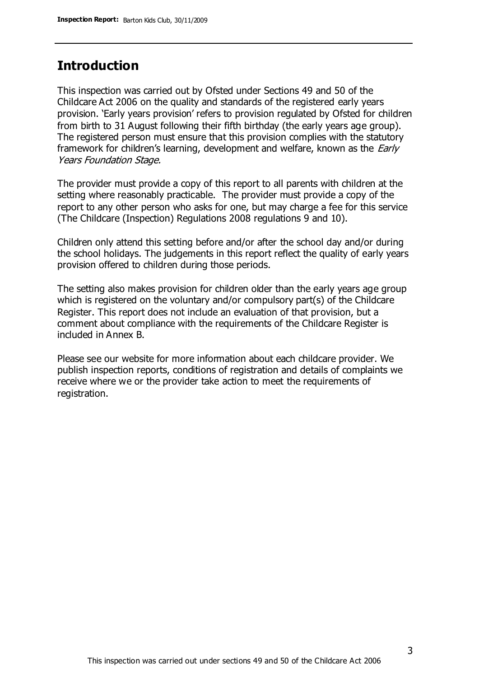#### **Introduction**

This inspection was carried out by Ofsted under Sections 49 and 50 of the Childcare Act 2006 on the quality and standards of the registered early years provision. 'Early years provision' refers to provision regulated by Ofsted for children from birth to 31 August following their fifth birthday (the early years age group). The registered person must ensure that this provision complies with the statutory framework for children's learning, development and welfare, known as the *Early* Years Foundation Stage.

The provider must provide a copy of this report to all parents with children at the setting where reasonably practicable. The provider must provide a copy of the report to any other person who asks for one, but may charge a fee for this service (The Childcare (Inspection) Regulations 2008 regulations 9 and 10).

Children only attend this setting before and/or after the school day and/or during the school holidays. The judgements in this report reflect the quality of early years provision offered to children during those periods.

The setting also makes provision for children older than the early years age group which is registered on the voluntary and/or compulsory part(s) of the Childcare Register. This report does not include an evaluation of that provision, but a comment about compliance with the requirements of the Childcare Register is included in Annex B.

Please see our website for more information about each childcare provider. We publish inspection reports, conditions of registration and details of complaints we receive where we or the provider take action to meet the requirements of registration.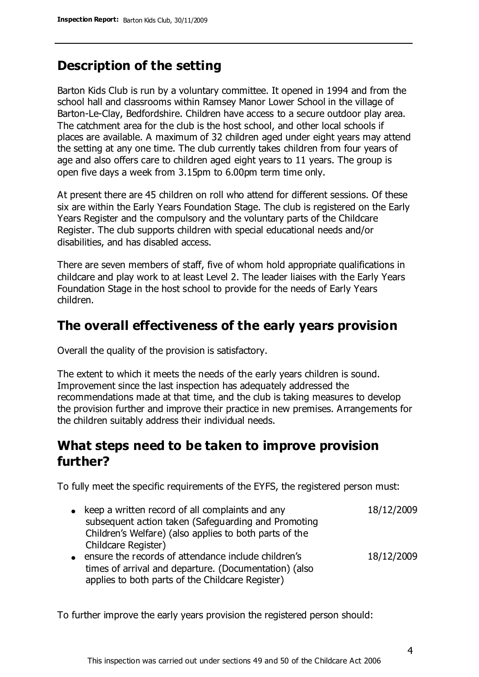### **Description of the setting**

Barton Kids Club is run by a voluntary committee. It opened in 1994 and from the school hall and classrooms within Ramsey Manor Lower School in the village of Barton-Le-Clay, Bedfordshire. Children have access to a secure outdoor play area. The catchment area for the club is the host school, and other local schools if places are available. A maximum of 32 children aged under eight years may attend the setting at any one time. The club currently takes children from four years of age and also offers care to children aged eight years to 11 years. The group is open five days a week from 3.15pm to 6.00pm term time only.

At present there are 45 children on roll who attend for different sessions. Of these six are within the Early Years Foundation Stage. The club is registered on the Early Years Register and the compulsory and the voluntary parts of the Childcare Register. The club supports children with special educational needs and/or disabilities, and has disabled access.

There are seven members of staff, five of whom hold appropriate qualifications in childcare and play work to at least Level 2. The leader liaises with the Early Years Foundation Stage in the host school to provide for the needs of Early Years children.

#### **The overall effectiveness of the early years provision**

Overall the quality of the provision is satisfactory.

The extent to which it meets the needs of the early years children is sound. Improvement since the last inspection has adequately addressed the recommendations made at that time, and the club is taking measures to develop the provision further and improve their practice in new premises. Arrangements for the children suitably address their individual needs.

### **What steps need to be taken to improve provision further?**

To fully meet the specific requirements of the EYFS, the registered person must:

- $\bullet$  keep a written record of all complaints and any subsequent action taken (Safeguarding and Promoting Children's Welfare) (also applies to both parts of the Childcare Register) 18/12/2009 ensure the records of attendance include children's
- times of arrival and departure. (Documentation) (also applies to both parts of the Childcare Register) 18/12/2009

To further improve the early years provision the registered person should: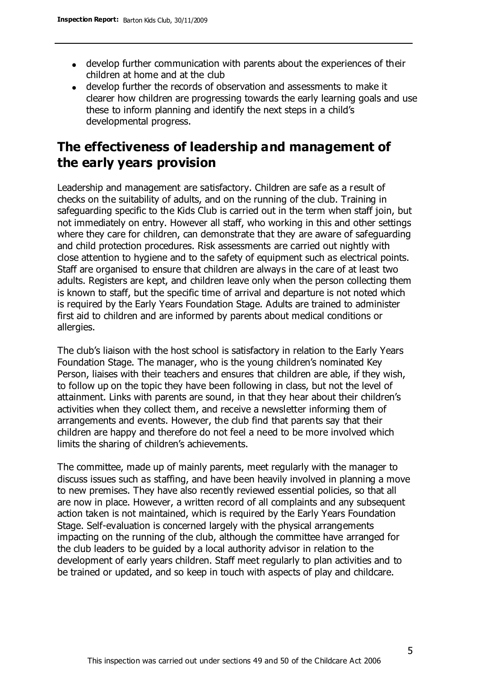- develop further communication with parents about the experiences of their children at home and at the club
- develop further the records of observation and assessments to make it clearer how children are progressing towards the early learning goals and use these to inform planning and identify the next steps in a child's developmental progress.

## **The effectiveness of leadership and management of the early years provision**

Leadership and management are satisfactory. Children are safe as a result of checks on the suitability of adults, and on the running of the club. Training in safeguarding specific to the Kids Club is carried out in the term when staff join, but not immediately on entry. However all staff, who working in this and other settings where they care for children, can demonstrate that they are aware of safeguarding and child protection procedures. Risk assessments are carried out nightly with close attention to hygiene and to the safety of equipment such as electrical points. Staff are organised to ensure that children are always in the care of at least two adults. Registers are kept, and children leave only when the person collecting them is known to staff, but the specific time of arrival and departure is not noted which is required by the Early Years Foundation Stage. Adults are trained to administer first aid to children and are informed by parents about medical conditions or allergies.

The club's liaison with the host school is satisfactory in relation to the Early Years Foundation Stage. The manager, who is the young children's nominated Key Person, liaises with their teachers and ensures that children are able, if they wish, to follow up on the topic they have been following in class, but not the level of attainment. Links with parents are sound, in that they hear about their children's activities when they collect them, and receive a newsletter informing them of arrangements and events. However, the club find that parents say that their children are happy and therefore do not feel a need to be more involved which limits the sharing of children's achievements.

The committee, made up of mainly parents, meet regularly with the manager to discuss issues such as staffing, and have been heavily involved in planning a move to new premises. They have also recently reviewed essential policies, so that all are now in place. However, a written record of all complaints and any subsequent action taken is not maintained, which is required by the Early Years Foundation Stage. Self-evaluation is concerned largely with the physical arrangements impacting on the running of the club, although the committee have arranged for the club leaders to be guided by a local authority advisor in relation to the development of early years children. Staff meet regularly to plan activities and to be trained or updated, and so keep in touch with aspects of play and childcare.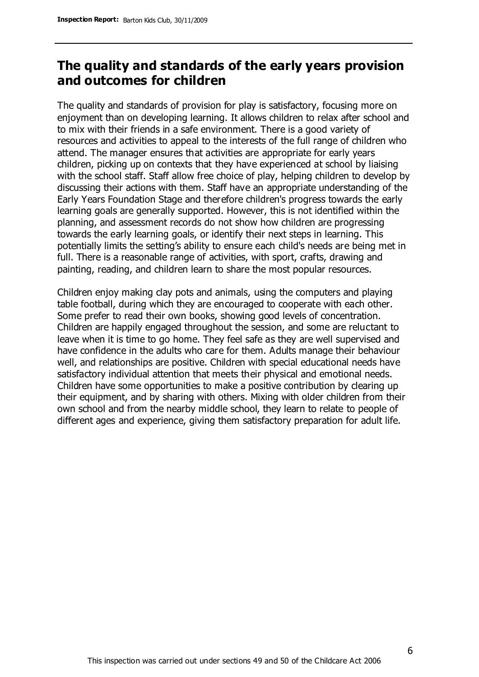## **The quality and standards of the early years provision and outcomes for children**

The quality and standards of provision for play is satisfactory, focusing more on enjoyment than on developing learning. It allows children to relax after school and to mix with their friends in a safe environment. There is a good variety of resources and activities to appeal to the interests of the full range of children who attend. The manager ensures that activities are appropriate for early years children, picking up on contexts that they have experienced at school by liaising with the school staff. Staff allow free choice of play, helping children to develop by discussing their actions with them. Staff have an appropriate understanding of the Early Years Foundation Stage and therefore children's progress towards the early learning goals are generally supported. However, this is not identified within the planning, and assessment records do not show how children are progressing towards the early learning goals, or identify their next steps in learning. This potentially limits the setting's ability to ensure each child's needs are being met in full. There is a reasonable range of activities, with sport, crafts, drawing and painting, reading, and children learn to share the most popular resources.

Children enjoy making clay pots and animals, using the computers and playing table football, during which they are encouraged to cooperate with each other. Some prefer to read their own books, showing good levels of concentration. Children are happily engaged throughout the session, and some are reluctant to leave when it is time to go home. They feel safe as they are well supervised and have confidence in the adults who care for them. Adults manage their behaviour well, and relationships are positive. Children with special educational needs have satisfactory individual attention that meets their physical and emotional needs. Children have some opportunities to make a positive contribution by clearing up their equipment, and by sharing with others. Mixing with older children from their own school and from the nearby middle school, they learn to relate to people of different ages and experience, giving them satisfactory preparation for adult life.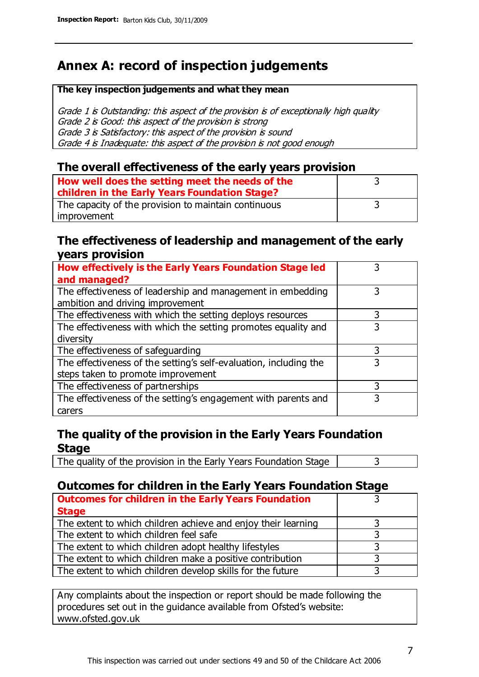## **Annex A: record of inspection judgements**

#### **The key inspection judgements and what they mean**

Grade 1 is Outstanding: this aspect of the provision is of exceptionally high quality Grade 2 is Good: this aspect of the provision is strong Grade 3 is Satisfactory: this aspect of the provision is sound Grade 4 is Inadequate: this aspect of the provision is not good enough

#### **The overall effectiveness of the early years provision**

| How well does the setting meet the needs of the<br>children in the Early Years Foundation Stage? |  |
|--------------------------------------------------------------------------------------------------|--|
| The capacity of the provision to maintain continuous                                             |  |
| improvement                                                                                      |  |

#### **The effectiveness of leadership and management of the early years provision**

| How effectively is the Early Years Foundation Stage led                                         |   |
|-------------------------------------------------------------------------------------------------|---|
| and managed?                                                                                    |   |
| The effectiveness of leadership and management in embedding<br>ambition and driving improvement | 3 |
|                                                                                                 |   |
| The effectiveness with which the setting deploys resources                                      | 3 |
| The effectiveness with which the setting promotes equality and                                  | 3 |
| diversity                                                                                       |   |
| The effectiveness of safeguarding                                                               | 3 |
| The effectiveness of the setting's self-evaluation, including the                               | 3 |
| steps taken to promote improvement                                                              |   |
| The effectiveness of partnerships                                                               | 3 |
| The effectiveness of the setting's engagement with parents and                                  |   |
| carers                                                                                          |   |

#### **The quality of the provision in the Early Years Foundation Stage**

The quality of the provision in the Early Years Foundation Stage  $\vert$  3

#### **Outcomes for children in the Early Years Foundation Stage**

| <b>Outcomes for children in the Early Years Foundation</b>    |  |
|---------------------------------------------------------------|--|
| <b>Stage</b>                                                  |  |
| The extent to which children achieve and enjoy their learning |  |
| The extent to which children feel safe                        |  |
| The extent to which children adopt healthy lifestyles         |  |
| The extent to which children make a positive contribution     |  |
| The extent to which children develop skills for the future    |  |

Any complaints about the inspection or report should be made following the procedures set out in the guidance available from Ofsted's website: www.ofsted.gov.uk